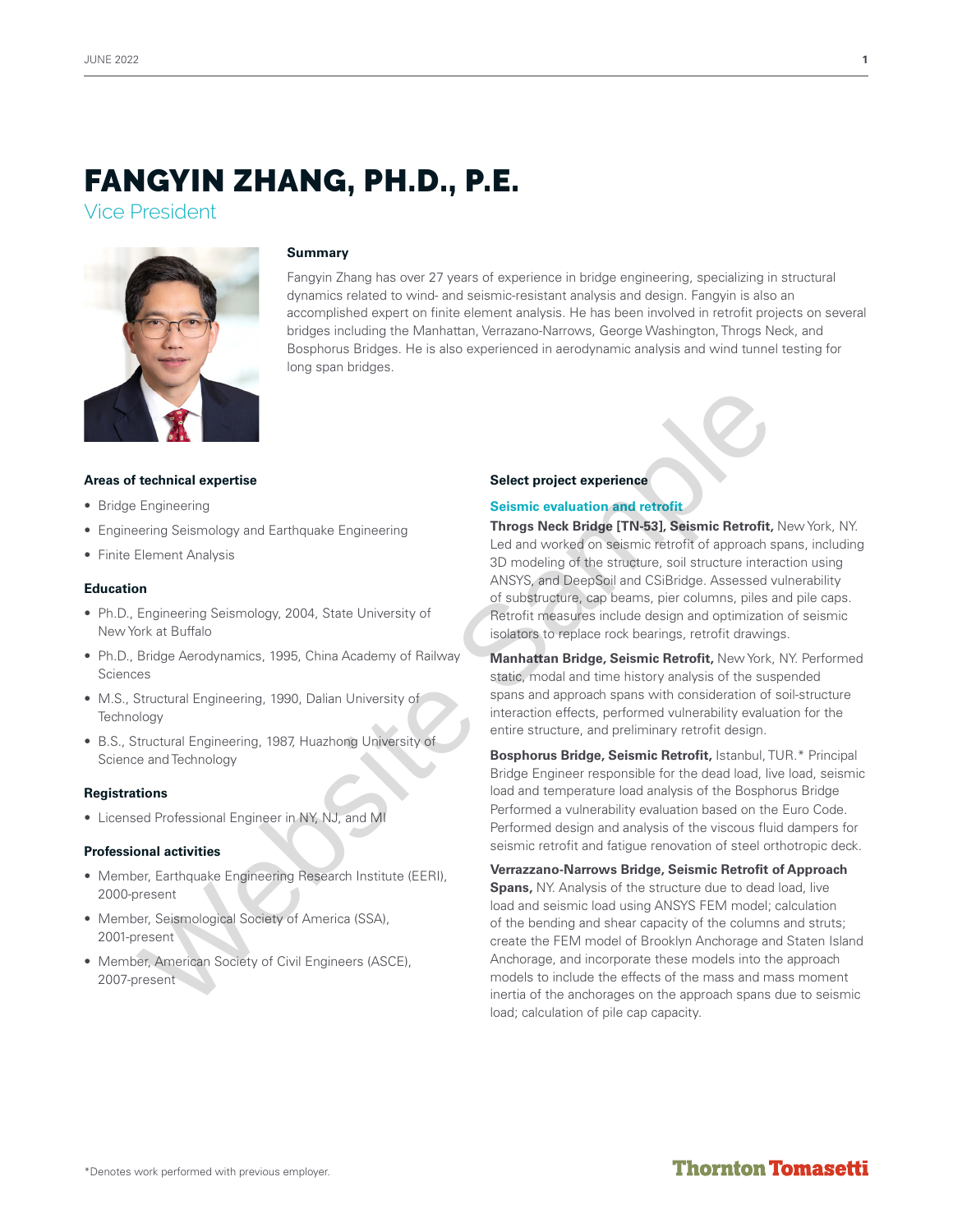# FANGYIN ZHANG, PH.D., P.E.

Vice President



### **Summary**

Fangyin Zhang has over 27 years of experience in bridge engineering, specializing in structural dynamics related to wind- and seismic-resistant analysis and design. Fangyin is also an accomplished expert on finite element analysis. He has been involved in retrofit projects on several bridges including the Manhattan, Verrazano-Narrows, George Washington, Throgs Neck, and Bosphorus Bridges. He is also experienced in aerodynamic analysis and wind tunnel testing for long span bridges.

### **Areas of technical expertise**

- Bridge Engineering
- Engineering Seismology and Earthquake Engineering
- Finite Element Analysis

### **Education**

- Ph.D., Engineering Seismology, 2004, State University of New York at Buffalo
- Ph.D., Bridge Aerodynamics, 1995, China Academy of Railway Sciences
- M.S., Structural Engineering, 1990, Dalian University of **Technology**
- B.S., Structural Engineering, 1987, Huazhong University of Science and Technology

### **Registrations**

• Licensed Professional Engineer in NY, NJ, and MI

### **Professional activities**

- Member, Earthquake Engineering Research Institute (EERI), 2000-present
- Member, Seismological Society of America (SSA), 2001-present
- Member, American Society of Civil Engineers (ASCE), 2007-present

### **Select project experience**

### **Seismic evaluation and retrofit**

**Throgs Neck Bridge [TN-53], Seismic Retrofit,** New York, NY. Led and worked on seismic retrofit of approach spans, including 3D modeling of the structure, soil structure interaction using ANSYS, and DeepSoil and CSiBridge. Assessed vulnerability of substructure, cap beams, pier columns, piles and pile caps. Retrofit measures include design and optimization of seismic isolators to replace rock bearings, retrofit drawings.

**Manhattan Bridge, Seismic Retrofit,** New York, NY. Performed static, modal and time history analysis of the suspended spans and approach spans with consideration of soil-structure interaction effects, performed vulnerability evaluation for the entire structure, and preliminary retrofit design.

**Bosphorus Bridge, Seismic Retrofit,** Istanbul, TUR.\* Principal Bridge Engineer responsible for the dead load, live load, seismic load and temperature load analysis of the Bosphorus Bridge Performed a vulnerability evaluation based on the Euro Code. Performed design and analysis of the viscous fluid dampers for seismic retrofit and fatigue renovation of steel orthotropic deck.

**Verrazzano-Narrows Bridge, Seismic Retrofit of Approach Spans,** NY. Analysis of the structure due to dead load, live load and seismic load using ANSYS FEM model; calculation of the bending and shear capacity of the columns and struts; create the FEM model of Brooklyn Anchorage and Staten Island Anchorage, and incorporate these models into the approach models to include the effects of the mass and mass moment inertia of the anchorages on the approach spans due to seismic load; calculation of pile cap capacity. **Example and Examples (Select project experience**<br>
Engineering<br>
Engineering<br>
Element Analysis<br>
Element Analysis<br>
Element Analysis<br>
Select project experience<br>
Select project experience<br>
Select project and the conflict of a<br>

## **Thornton Tomasetti**